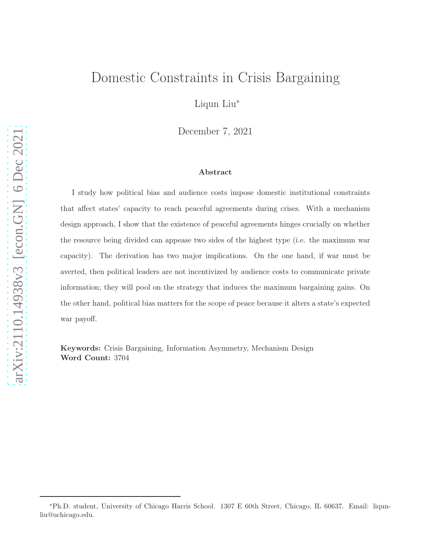# Domestic Constraints in Crisis Bargaining

Liqun Liu<sup>∗</sup>

December 7, 2021

#### Abstract

I study how political bias and audience costs impose domestic institutional constraints that affect states' capacity to reach peaceful agreements during crises. With a mechanism design approach, I show that the existence of peaceful agreements hinges crucially on whether the resource being divided can appease two sides of the highest type (i.e. the maximum war capacity). The derivation has two major implications. On the one hand, if war must be averted, then political leaders are not incentivized by audience costs to communicate private information; they will pool on the strategy that induces the maximum bargaining gains. On the other hand, political bias matters for the scope of peace because it alters a state's expected war payoff.

Keywords: Crisis Bargaining, Information Asymmetry, Mechanism Design Word Count: 3704

<sup>∗</sup>Ph.D. student, University of Chicago Harris School. 1307 E 60th Street, Chicago, IL 60637. Email: liqunliu@uchicago.edu.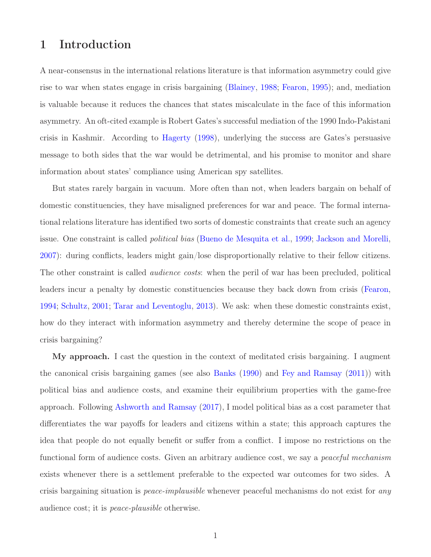## 1 Introduction

A near-consensus in the international relations literature is that information asymmetry could give rise to war when states engage in crisis bargaining [\(Blainey,](#page-13-0) [1988;](#page-13-0) [Fearon,](#page-13-1) [1995](#page-13-1)); and, mediation is valuable because it reduces the chances that states miscalculate in the face of this information asymmetry. An oft-cited example is Robert Gates's successful mediation of the 1990 Indo-Pakistani crisis in Kashmir. According to [Hagerty](#page-13-2) [\(1998](#page-13-2)), underlying the success are Gates's persuasive message to both sides that the war would be detrimental, and his promise to monitor and share information about states' compliance using American spy satellites.

But states rarely bargain in vacuum. More often than not, when leaders bargain on behalf of domestic constituencies, they have misaligned preferences for war and peace. The formal international relations literature has identified two sorts of domestic constraints that create such an agency issue. One constraint is called political bias [\(Bueno de Mesquita et al.](#page-13-3), [1999;](#page-13-3) [Jackson and Morelli](#page-13-4), [2007](#page-13-4)): during conflicts, leaders might gain/lose disproportionally relative to their fellow citizens. The other constraint is called *audience costs*: when the peril of war has been precluded, political leaders incur a penalty by domestic constituencies because they back down from crisis [\(Fearon](#page-13-5), [1994](#page-13-5); [Schultz](#page-14-0), [2001;](#page-14-0) [Tarar and Leventoglu](#page-14-1), [2013\)](#page-14-1). We ask: when these domestic constraints exist, how do they interact with information asymmetry and thereby determine the scope of peace in crisis bargaining?

My approach. I cast the question in the context of meditated crisis bargaining. I augment the canonical crisis bargaining games (see also [Banks](#page-13-6) [\(1990\)](#page-13-6) and [Fey and Ramsay](#page-13-7) [\(2011\)](#page-13-7)) with political bias and audience costs, and examine their equilibrium properties with the game-free approach. Following [Ashworth and Ramsay](#page-13-8) [\(2017\)](#page-13-8), I model political bias as a cost parameter that differentiates the war payoffs for leaders and citizens within a state; this approach captures the idea that people do not equally benefit or suffer from a conflict. I impose no restrictions on the functional form of audience costs. Given an arbitrary audience cost, we say a *peaceful mechanism* exists whenever there is a settlement preferable to the expected war outcomes for two sides. A crisis bargaining situation is peace-implausible whenever peaceful mechanisms do not exist for any audience cost; it is peace-plausible otherwise.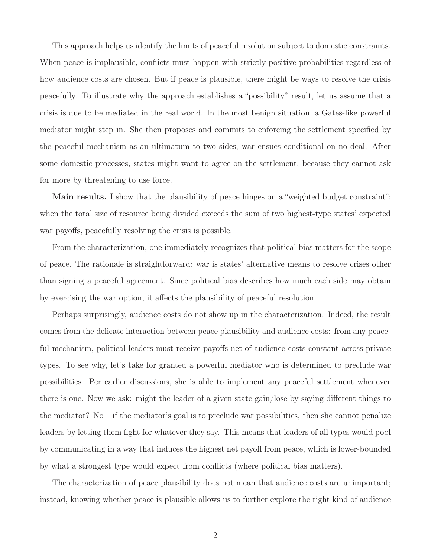This approach helps us identify the limits of peaceful resolution subject to domestic constraints. When peace is implausible, conflicts must happen with strictly positive probabilities regardless of how audience costs are chosen. But if peace is plausible, there might be ways to resolve the crisis peacefully. To illustrate why the approach establishes a "possibility" result, let us assume that a crisis is due to be mediated in the real world. In the most benign situation, a Gates-like powerful mediator might step in. She then proposes and commits to enforcing the settlement specified by the peaceful mechanism as an ultimatum to two sides; war ensues conditional on no deal. After some domestic processes, states might want to agree on the settlement, because they cannot ask for more by threatening to use force.

Main results. I show that the plausibility of peace hinges on a "weighted budget constraint": when the total size of resource being divided exceeds the sum of two highest-type states' expected war payoffs, peacefully resolving the crisis is possible.

From the characterization, one immediately recognizes that political bias matters for the scope of peace. The rationale is straightforward: war is states' alternative means to resolve crises other than signing a peaceful agreement. Since political bias describes how much each side may obtain by exercising the war option, it affects the plausibility of peaceful resolution.

Perhaps surprisingly, audience costs do not show up in the characterization. Indeed, the result comes from the delicate interaction between peace plausibility and audience costs: from any peaceful mechanism, political leaders must receive payoffs net of audience costs constant across private types. To see why, let's take for granted a powerful mediator who is determined to preclude war possibilities. Per earlier discussions, she is able to implement any peaceful settlement whenever there is one. Now we ask: might the leader of a given state gain/lose by saying different things to the mediator? No – if the mediator's goal is to preclude war possibilities, then she cannot penalize leaders by letting them fight for whatever they say. This means that leaders of all types would pool by communicating in a way that induces the highest net payoff from peace, which is lower-bounded by what a strongest type would expect from conflicts (where political bias matters).

The characterization of peace plausibility does not mean that audience costs are unimportant; instead, knowing whether peace is plausible allows us to further explore the right kind of audience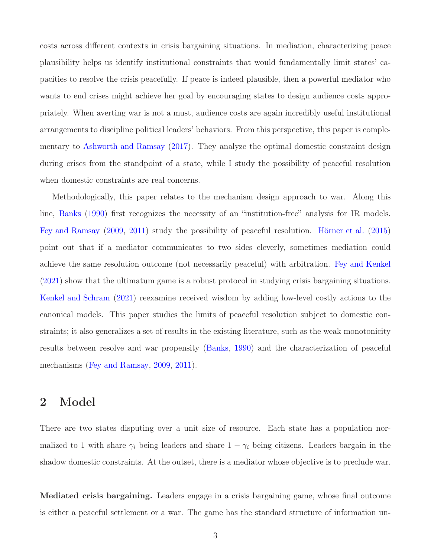costs across different contexts in crisis bargaining situations. In mediation, characterizing peace plausibility helps us identify institutional constraints that would fundamentally limit states' capacities to resolve the crisis peacefully. If peace is indeed plausible, then a powerful mediator who wants to end crises might achieve her goal by encouraging states to design audience costs appropriately. When averting war is not a must, audience costs are again incredibly useful institutional arrangements to discipline political leaders' behaviors. From this perspective, this paper is complementary to [Ashworth and Ramsay](#page-13-8) [\(2017\)](#page-13-8). They analyze the optimal domestic constraint design during crises from the standpoint of a state, while I study the possibility of peaceful resolution when domestic constraints are real concerns.

Methodologically, this paper relates to the mechanism design approach to war. Along this line, [Banks](#page-13-6) [\(1990](#page-13-6)) first recognizes the necessity of an "institution-free" analysis for IR models. [Fey and Ramsay](#page-13-9) [\(2009](#page-13-9), [2011\)](#page-13-7) study the possibility of peaceful resolution. [Hörner et al.](#page-13-10) [\(2015\)](#page-13-10) point out that if a mediator communicates to two sides cleverly, sometimes mediation could achieve the same resolution outcome (not necessarily peaceful) with arbitration. [Fey and Kenkel](#page-13-11) [\(2021\)](#page-13-11) show that the ultimatum game is a robust protocol in studying crisis bargaining situations. [Kenkel and Schram](#page-14-2) [\(2021](#page-14-2)) reexamine received wisdom by adding low-level costly actions to the canonical models. This paper studies the limits of peaceful resolution subject to domestic constraints; it also generalizes a set of results in the existing literature, such as the weak monotonicity results between resolve and war propensity [\(Banks](#page-13-6), [1990\)](#page-13-6) and the characterization of peaceful mechanisms [\(Fey and Ramsay](#page-13-9), [2009,](#page-13-9) [2011\)](#page-13-7).

### 2 Model

There are two states disputing over a unit size of resource. Each state has a population normalized to 1 with share  $\gamma_i$  being leaders and share  $1 - \gamma_i$  being citizens. Leaders bargain in the shadow domestic constraints. At the outset, there is a mediator whose objective is to preclude war.

Mediated crisis bargaining. Leaders engage in a crisis bargaining game, whose final outcome is either a peaceful settlement or a war. The game has the standard structure of information un-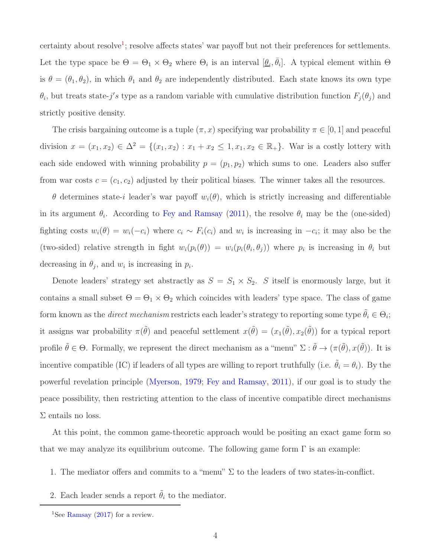certainty about resolve<sup>1</sup>; resolve affects states' war payoff but not their preferences for settlements. Let the type space be  $\Theta = \Theta_1 \times \Theta_2$  where  $\Theta_i$  is an interval  $[\underline{\theta}_i, \overline{\theta}_i]$ . A typical element within  $\Theta$ is  $\theta = (\theta_1, \theta_2)$ , in which  $\theta_1$  and  $\theta_2$  are independently distributed. Each state knows its own type  $\theta_i$ , but treats state-j's type as a random variable with cumulative distribution function  $F_j(\theta_j)$  and strictly positive density.

The crisis bargaining outcome is a tuple  $(\pi, x)$  specifying war probability  $\pi \in [0, 1]$  and peaceful division  $x = (x_1, x_2) \in \Delta^2 = \{(x_1, x_2) : x_1 + x_2 \leq 1, x_1, x_2 \in \mathbb{R}_+\}$ . War is a costly lottery with each side endowed with winning probability  $p = (p_1, p_2)$  which sums to one. Leaders also suffer from war costs  $c = (c_1, c_2)$  adjusted by their political biases. The winner takes all the resources.

θ determines state-i leader's war payoff wi(θ), which is strictly increasing and differentiable in its argument  $\theta_i$ . According to [Fey and Ramsay](#page-13-7) [\(2011](#page-13-7)), the resolve  $\theta_i$  may be the (one-sided) fighting costs  $w_i(\theta) = w_i(-c_i)$  where  $c_i \sim F_i(c_i)$  and  $w_i$  is increasing in  $-c_i$ ; it may also be the (two-sided) relative strength in fight  $w_i(p_i(\theta)) = w_i(p_i(\theta_i, \theta_j))$  where  $p_i$  is increasing in  $\theta_i$  but decreasing in  $\theta_j$ , and  $w_i$  is increasing in  $p_i$ .

Denote leaders' strategy set abstractly as  $S = S_1 \times S_2$ . S itself is enormously large, but it contains a small subset  $\Theta = \Theta_1 \times \Theta_2$  which coincides with leaders' type space. The class of game form known as the *direct mechanism* restricts each leader's strategy to reporting some type  $\tilde{\theta}_i \in \Theta_i$ ; it assigns war probability  $\pi(\tilde{\theta})$  and peaceful settlement  $x(\tilde{\theta}) = (x_1(\tilde{\theta}), x_2(\tilde{\theta}))$  for a typical report profile  $\tilde{\theta} \in \Theta$ . Formally, we represent the direct mechanism as a "menu"  $\Sigma : \tilde{\theta} \to (\pi(\tilde{\theta}), x(\tilde{\theta}))$ . It is incentive compatible (IC) if leaders of all types are willing to report truthfully (i.e.  $\tilde{\theta}_i = \theta_i$ ). By the powerful revelation principle [\(Myerson](#page-14-3), [1979](#page-14-3); [Fey and Ramsay,](#page-13-7) [2011\)](#page-13-7), if our goal is to study the peace possibility, then restricting attention to the class of incentive compatible direct mechanisms  $\Sigma$  entails no loss.

At this point, the common game-theoretic approach would be positing an exact game form so that we may analyze its equilibrium outcome. The following game form  $\Gamma$  is an example:

- 1. The mediator offers and commits to a "menu"  $\Sigma$  to the leaders of two states-in-conflict.
- 2. Each leader sends a report  $\tilde{\theta}_i$  to the mediator.

<sup>&</sup>lt;sup>1</sup>See [Ramsay](#page-14-4)  $(2017)$  $(2017)$  for a review.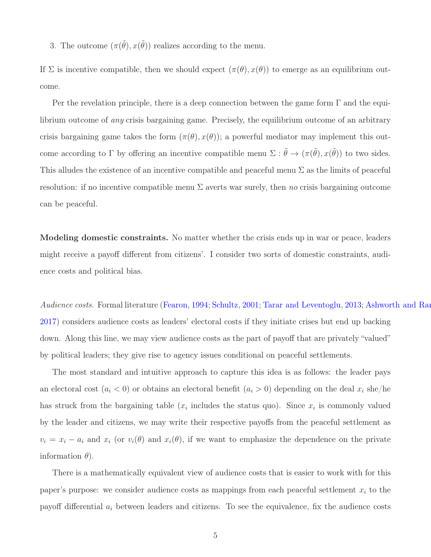3. The outcome  $(\pi(\tilde{\theta}), x(\tilde{\theta}))$  realizes according to the menu.

If  $\Sigma$  is incentive compatible, then we should expect  $(\pi(\theta), x(\theta))$  to emerge as an equilibrium outcome.

Per the revelation principle, there is a deep connection between the game form  $\Gamma$  and the equilibrium outcome of any crisis bargaining game. Precisely, the equilibrium outcome of an arbitrary crisis bargaining game takes the form  $(\pi(\theta), x(\theta))$ ; a powerful mediator may implement this outcome according to  $\Gamma$  by offering an incentive compatible menu  $\Sigma : \tilde{\theta} \to (\pi(\tilde{\theta}), x(\tilde{\theta}))$  to two sides. This alludes the existence of an incentive compatible and peaceful menu  $\Sigma$  as the limits of peaceful resolution: if no incentive compatible menu  $\Sigma$  averts war surely, then no crisis bargaining outcome can be peaceful.

Modeling domestic constraints. No matter whether the crisis ends up in war or peace, leaders might receive a payoff different from citizens'. I consider two sorts of domestic constraints, audience costs and political bias.

Audience costs. Formal literature [\(Fearon](#page-13-5), [1994;](#page-13-5) [Schultz](#page-14-0), [2001;](#page-14-0) [Tarar and Leventoglu](#page-14-1), [2013;](#page-14-1) Ashworth and Ram [2017](#page-13-8)) considers audience costs as leaders' electoral costs if they initiate crises but end up backing down. Along this line, we may view audience costs as the part of payoff that are privately "valued" by political leaders; they give rise to agency issues conditional on peaceful settlements.

The most standard and intuitive approach to capture this idea is as follows: the leader pays an electoral cost  $(a_i < 0)$  or obtains an electoral benefit  $(a_i > 0)$  depending on the deal  $x_i$  she/he has struck from the bargaining table  $(x_i$  includes the status quo). Since  $x_i$  is commonly valued by the leader and citizens, we may write their respective payoffs from the peaceful settlement as  $v_i = x_i - a_i$  and  $x_i$  (or  $v_i(\theta)$  and  $x_i(\theta)$ , if we want to emphasize the dependence on the private information  $\theta$ ).

There is a mathematically equivalent view of audience costs that is easier to work with for this paper's purpose: we consider audience costs as mappings from each peaceful settlement  $x_i$  to the payoff differential  $a_i$  between leaders and citizens. To see the equivalence, fix the audience costs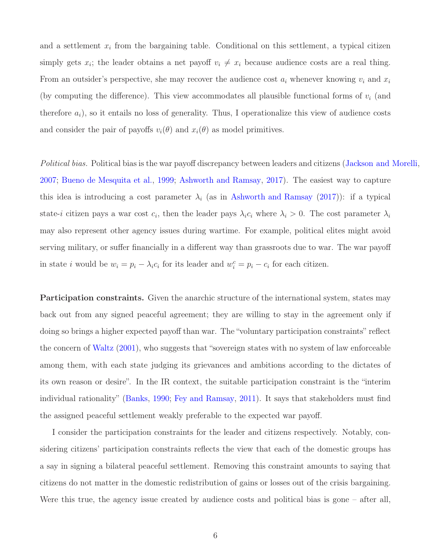and a settlement  $x_i$  from the bargaining table. Conditional on this settlement, a typical citizen simply gets  $x_i$ ; the leader obtains a net payoff  $v_i \neq x_i$  because audience costs are a real thing. From an outsider's perspective, she may recover the audience cost  $a_i$  whenever knowing  $v_i$  and  $x_i$ (by computing the difference). This view accommodates all plausible functional forms of  $v_i$  (and therefore  $a_i$ ), so it entails no loss of generality. Thus, I operationalize this view of audience costs and consider the pair of payoffs  $v_i(\theta)$  and  $x_i(\theta)$  as model primitives.

Political bias. Political bias is the war payoff discrepancy between leaders and citizens [\(Jackson and Morelli](#page-13-4), [2007](#page-13-4); [Bueno de Mesquita et al.](#page-13-3), [1999](#page-13-3); [Ashworth and Ramsay](#page-13-8), [2017](#page-13-8)). The easiest way to capture this idea is introducing a cost parameter  $\lambda_i$  (as in [Ashworth and Ramsay](#page-13-8) [\(2017\)](#page-13-8)): if a typical state-i citizen pays a war cost  $c_i$ , then the leader pays  $\lambda_i c_i$  where  $\lambda_i > 0$ . The cost parameter  $\lambda_i$ may also represent other agency issues during wartime. For example, political elites might avoid serving military, or suffer financially in a different way than grassroots due to war. The war payoff in state *i* would be  $w_i = p_i - \lambda_i c_i$  for its leader and  $w_i^c = p_i - c_i$  for each citizen.

Participation constraints. Given the anarchic structure of the international system, states may back out from any signed peaceful agreement; they are willing to stay in the agreement only if doing so brings a higher expected payoff than war. The "voluntary participation constraints" reflect the concern of [Waltz](#page-14-5) [\(2001\)](#page-14-5), who suggests that "sovereign states with no system of law enforceable among them, with each state judging its grievances and ambitions according to the dictates of its own reason or desire". In the IR context, the suitable participation constraint is the "interim individual rationality" [\(Banks,](#page-13-6) [1990;](#page-13-6) [Fey and Ramsay](#page-13-7), [2011\)](#page-13-7). It says that stakeholders must find the assigned peaceful settlement weakly preferable to the expected war payoff.

I consider the participation constraints for the leader and citizens respectively. Notably, considering citizens' participation constraints reflects the view that each of the domestic groups has a say in signing a bilateral peaceful settlement. Removing this constraint amounts to saying that citizens do not matter in the domestic redistribution of gains or losses out of the crisis bargaining. Were this true, the agency issue created by audience costs and political bias is gone – after all,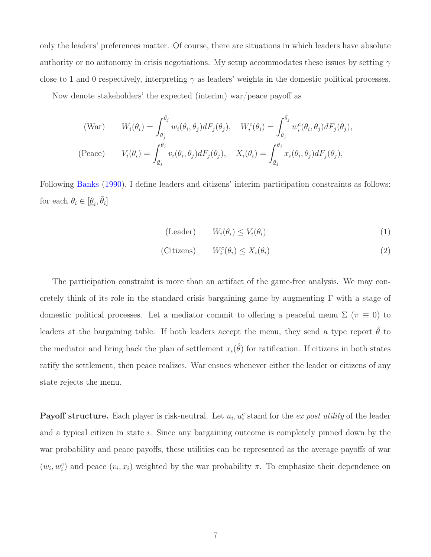only the leaders' preferences matter. Of course, there are situations in which leaders have absolute authority or no autonomy in crisis negotiations. My setup accommodates these issues by setting  $\gamma$ close to 1 and 0 respectively, interpreting  $\gamma$  as leaders' weights in the domestic political processes.

Now denote stakeholders' the expected (interim) war/peace payoff as

(War) 
$$
W_i(\theta_i) = \int_{\underline{\theta}_j}^{\overline{\theta}_j} w_i(\theta_i, \theta_j) dF_j(\theta_j), \quad W_i^c(\theta_i) = \int_{\underline{\theta}_j}^{\overline{\theta}_j} w_i^c(\theta_i, \theta_j) dF_j(\theta_j),
$$
  
(Peace) 
$$
V_i(\theta_i) = \int_{\underline{\theta}_j}^{\overline{\theta}_j} v_i(\theta_i, \theta_j) dF_j(\theta_j), \quad X_i(\theta_i) = \int_{\underline{\theta}_j}^{\overline{\theta}_j} x_i(\theta_i, \theta_j) dF_j(\theta_j),
$$

Following [Banks](#page-13-6) [\(1990\)](#page-13-6), I define leaders and citizens' interim participation constraints as follows: for each  $\theta_i \in [\underline{\theta}_i, \overline{\theta}_i]$ 

$$
\text{(Leader)} \qquad W_i(\theta_i) \le V_i(\theta_i) \tag{1}
$$

$$
(Citizens) \t W_i^c(\theta_i) \le X_i(\theta_i) \t (2)
$$

The participation constraint is more than an artifact of the game-free analysis. We may concretely think of its role in the standard crisis bargaining game by augmenting  $\Gamma$  with a stage of domestic political processes. Let a mediator commit to offering a peaceful menu  $\Sigma$  ( $\pi \equiv 0$ ) to leaders at the bargaining table. If both leaders accept the menu, they send a type report  $\hat{\theta}$  to the mediator and bring back the plan of settlement  $x_i(\hat{\theta})$  for ratification. If citizens in both states ratify the settlement, then peace realizes. War ensues whenever either the leader or citizens of any state rejects the menu.

**Payoff structure.** Each player is risk-neutral. Let  $u_i, u_i^c$  stand for the ex post utility of the leader and a typical citizen in state i. Since any bargaining outcome is completely pinned down by the war probability and peace payoffs, these utilities can be represented as the average payoffs of war  $(w_i, w_i^c)$  and peace  $(v_i, x_i)$  weighted by the war probability  $\pi$ . To emphasize their dependence on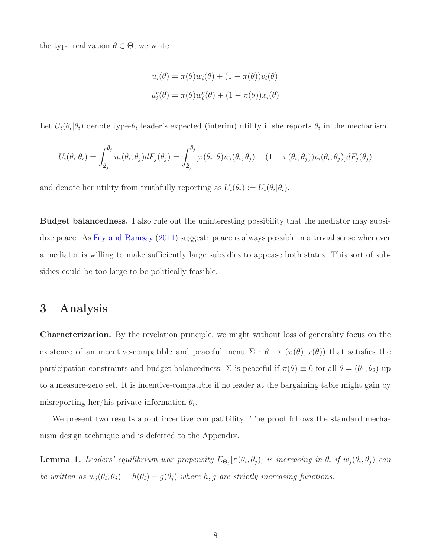the type realization  $\theta \in \Theta$ , we write

$$
u_i(\theta) = \pi(\theta)w_i(\theta) + (1 - \pi(\theta))v_i(\theta)
$$
  

$$
u_i^c(\theta) = \pi(\theta)w_i^c(\theta) + (1 - \pi(\theta))x_i(\theta)
$$

Let  $U_i(\tilde{\theta}_i|\theta_i)$  denote type- $\theta_i$  leader's expected (interim) utility if she reports  $\tilde{\theta}_i$  in the mechanism,

$$
U_i(\tilde{\theta}_i|\theta_i) = \int_{\underline{\theta}_j}^{\bar{\theta}_j} u_i(\tilde{\theta}_i, \theta_j) dF_j(\theta_j) = \int_{\underline{\theta}_j}^{\bar{\theta}_j} [\pi(\tilde{\theta}_i, \theta) w_i(\theta_i, \theta_j) + (1 - \pi(\tilde{\theta}_i, \theta_j)) v_i(\tilde{\theta}_i, \theta_j)] dF_j(\theta_j)
$$

and denote her utility from truthfully reporting as  $U_i(\theta_i) := U_i(\theta_i|\theta_i)$ .

Budget balancedness. I also rule out the uninteresting possibility that the mediator may subsi-dize peace. As [Fey and Ramsay](#page-13-7) [\(2011\)](#page-13-7) suggest: peace is always possible in a trivial sense whenever a mediator is willing to make sufficiently large subsidies to appease both states. This sort of subsidies could be too large to be politically feasible.

### 3 Analysis

Characterization. By the revelation principle, we might without loss of generality focus on the existence of an incentive-compatible and peaceful menu  $\Sigma$  :  $\theta \to (\pi(\theta), x(\theta))$  that satisfies the participation constraints and budget balancedness.  $\Sigma$  is peaceful if  $\pi(\theta) \equiv 0$  for all  $\theta = (\theta_1, \theta_2)$  up to a measure-zero set. It is incentive-compatible if no leader at the bargaining table might gain by misreporting her/his private information  $\theta_i$ .

We present two results about incentive compatibility. The proof follows the standard mechanism design technique and is deferred to the Appendix.

<span id="page-8-0"></span>**Lemma 1.** Leaders' equilibrium war propensity  $E_{\Theta_j}[\pi(\theta_i, \theta_j)]$  is increasing in  $\theta_i$  if  $w_j(\theta_i, \theta_j)$  can be written as  $w_j(\theta_i, \theta_j) = h(\theta_i) - g(\theta_j)$  where h, g are strictly increasing functions.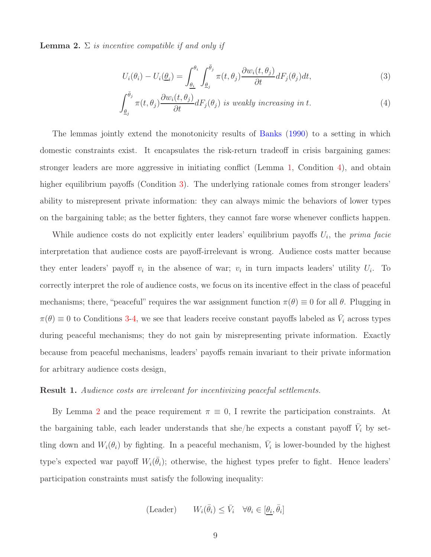<span id="page-9-2"></span>**Lemma 2.**  $\Sigma$  is incentive compatible if and only if

<span id="page-9-1"></span><span id="page-9-0"></span>
$$
U_i(\theta_i) - U_i(\underline{\theta}_i) = \int_{\underline{\theta}_i}^{\theta_i} \int_{\underline{\theta}_j}^{\bar{\theta}_j} \pi(t, \theta_j) \frac{\partial w_i(t, \theta_j)}{\partial t} dF_j(\theta_j) dt,
$$
\n(3)

$$
\int_{\underline{\theta}_j}^{\bar{\theta}_j} \pi(t,\theta_j) \frac{\partial w_i(t,\theta_j)}{\partial t} dF_j(\theta_j) \text{ is weakly increasing in } t. \tag{4}
$$

The lemmas jointly extend the monotonicity results of [Banks](#page-13-6) [\(1990\)](#page-13-6) to a setting in which domestic constraints exist. It encapsulates the risk-return tradeoff in crisis bargaining games: stronger leaders are more aggressive in initiating conflict (Lemma [1,](#page-8-0) Condition [4\)](#page-9-0), and obtain higher equilibrium payoffs (Condition [3\)](#page-9-1). The underlying rationale comes from stronger leaders' ability to misrepresent private information: they can always mimic the behaviors of lower types on the bargaining table; as the better fighters, they cannot fare worse whenever conflicts happen.

While audience costs do not explicitly enter leaders' equilibrium payoffs  $U_i$ , the prima facie interpretation that audience costs are payoff-irrelevant is wrong. Audience costs matter because they enter leaders' payoff  $v_i$  in the absence of war;  $v_i$  in turn impacts leaders' utility  $U_i$ . To correctly interpret the role of audience costs, we focus on its incentive effect in the class of peaceful mechanisms; there, "peaceful" requires the war assignment function  $\pi(\theta) \equiv 0$  for all  $\theta$ . Plugging in  $\pi(\theta) \equiv 0$  to Conditions [3-](#page-9-1)[4,](#page-9-0) we see that leaders receive constant payoffs labeled as  $\bar{V}_i$  across types during peaceful mechanisms; they do not gain by misrepresenting private information. Exactly because from peaceful mechanisms, leaders' payoffs remain invariant to their private information for arbitrary audience costs design,

#### Result 1. Audience costs are irrelevant for incentivizing peaceful settlements.

By Lemma [2](#page-9-2) and the peace requirement  $\pi \equiv 0$ , I rewrite the participation constraints. At the bargaining table, each leader understands that she/he expects a constant payoff  $\bar{V}_i$  by settling down and  $W_i(\theta_i)$  by fighting. In a peaceful mechanism,  $\bar{V}_i$  is lower-bounded by the highest type's expected war payoff  $W_i(\bar{\theta}_i)$ ; otherwise, the highest types prefer to fight. Hence leaders' participation constraints must satisfy the following inequality:

$$
(\text{Leader}) \qquad W_i(\bar{\theta}_i) \le \bar{V}_i \quad \forall \theta_i \in [\theta_i, \bar{\theta}_i]
$$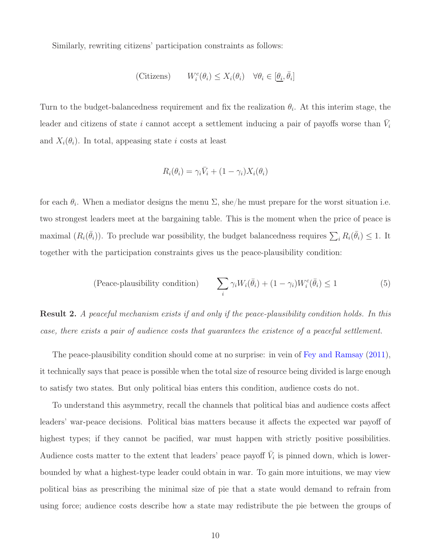Similarly, rewriting citizens' participation constraints as follows:

$$
\text{(Citizens)} \qquad W_i^c(\theta_i) \le X_i(\theta_i) \quad \forall \theta_i \in [\underline{\theta_i}, \overline{\theta}_i]
$$

Turn to the budget-balancedness requirement and fix the realization  $\theta_i$ . At this interim stage, the leader and citizens of state i cannot accept a settlement inducing a pair of payoffs worse than  $\bar{V}_i$ and  $X_i(\theta_i)$ . In total, appeasing state i costs at least

$$
R_i(\theta_i) = \gamma_i \bar{V}_i + (1 - \gamma_i) X_i(\theta_i)
$$

for each  $\theta_i$ . When a mediator designs the menu  $\Sigma$ , she/he must prepare for the worst situation i.e. two strongest leaders meet at the bargaining table. This is the moment when the price of peace is maximal  $(R_i(\bar{\theta}_i))$ . To preclude war possibility, the budget balancedness requires  $\sum_i R_i(\bar{\theta}_i) \leq 1$ . It together with the participation constraints gives us the peace-plausibility condition:

(Peace-plausibility condition) 
$$
\sum_{i} \gamma_i W_i(\bar{\theta}_i) + (1 - \gamma_i) W_i^c(\bar{\theta}_i) \le 1
$$
 (5)

<span id="page-10-0"></span>Result 2. A peaceful mechanism exists if and only if the peace-plausibility condition holds. In this case, there exists a pair of audience costs that guarantees the existence of a peaceful settlement.

The peace-plausibility condition should come at no surprise: in vein of [Fey and Ramsay](#page-13-7) [\(2011\)](#page-13-7), it technically says that peace is possible when the total size of resource being divided is large enough to satisfy two states. But only political bias enters this condition, audience costs do not.

To understand this asymmetry, recall the channels that political bias and audience costs affect leaders' war-peace decisions. Political bias matters because it affects the expected war payoff of highest types; if they cannot be pacified, war must happen with strictly positive possibilities. Audience costs matter to the extent that leaders' peace payoff  $\bar{V}_i$  is pinned down, which is lowerbounded by what a highest-type leader could obtain in war. To gain more intuitions, we may view political bias as prescribing the minimal size of pie that a state would demand to refrain from using force; audience costs describe how a state may redistribute the pie between the groups of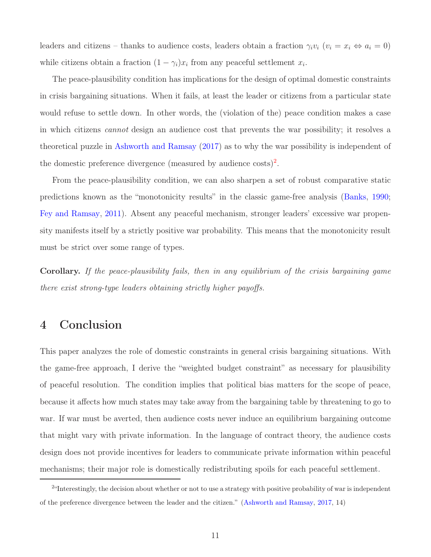leaders and citizens – thanks to audience costs, leaders obtain a fraction  $\gamma_i v_i$   $(v_i = x_i \Leftrightarrow a_i = 0)$ while citizens obtain a fraction  $(1 - \gamma_i)x_i$  from any peaceful settlement  $x_i$ .

The peace-plausibility condition has implications for the design of optimal domestic constraints in crisis bargaining situations. When it fails, at least the leader or citizens from a particular state would refuse to settle down. In other words, the (violation of the) peace condition makes a case in which citizens cannot design an audience cost that prevents the war possibility; it resolves a theoretical puzzle in [Ashworth and Ramsay](#page-13-8) [\(2017\)](#page-13-8) as to why the war possibility is independent of the domestic preference divergence (measured by audience costs)<sup>2</sup>.

From the peace-plausibility condition, we can also sharpen a set of robust comparative static predictions known as the "monotonicity results" in the classic game-free analysis [\(Banks](#page-13-6), [1990](#page-13-6); [Fey and Ramsay,](#page-13-7) [2011\)](#page-13-7). Absent any peaceful mechanism, stronger leaders' excessive war propensity manifests itself by a strictly positive war probability. This means that the monotonicity result must be strict over some range of types.

Corollary. If the peace-plausibility fails, then in any equilibrium of the crisis bargaining game there exist strong-type leaders obtaining strictly higher payoffs.

## 4 Conclusion

This paper analyzes the role of domestic constraints in general crisis bargaining situations. With the game-free approach, I derive the "weighted budget constraint" as necessary for plausibility of peaceful resolution. The condition implies that political bias matters for the scope of peace, because it affects how much states may take away from the bargaining table by threatening to go to war. If war must be averted, then audience costs never induce an equilibrium bargaining outcome that might vary with private information. In the language of contract theory, the audience costs design does not provide incentives for leaders to communicate private information within peaceful mechanisms; their major role is domestically redistributing spoils for each peaceful settlement.

<sup>&</sup>lt;sup>2</sup> Interestingly, the decision about whether or not to use a strategy with positive probability of war is independent of the preference divergence between the leader and the citizen." [\(Ashworth and Ramsay](#page-13-8), [2017](#page-13-8), 14)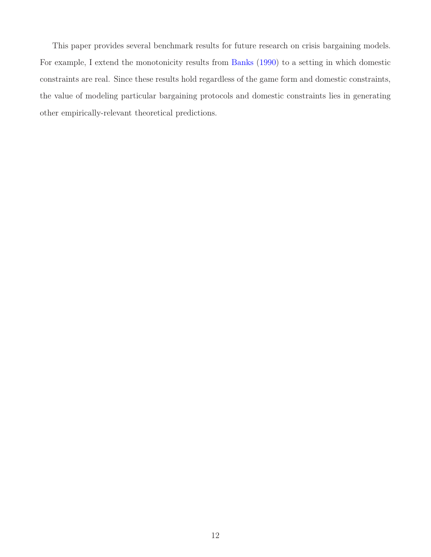This paper provides several benchmark results for future research on crisis bargaining models. For example, I extend the monotonicity results from [Banks](#page-13-6) [\(1990](#page-13-6)) to a setting in which domestic constraints are real. Since these results hold regardless of the game form and domestic constraints, the value of modeling particular bargaining protocols and domestic constraints lies in generating other empirically-relevant theoretical predictions.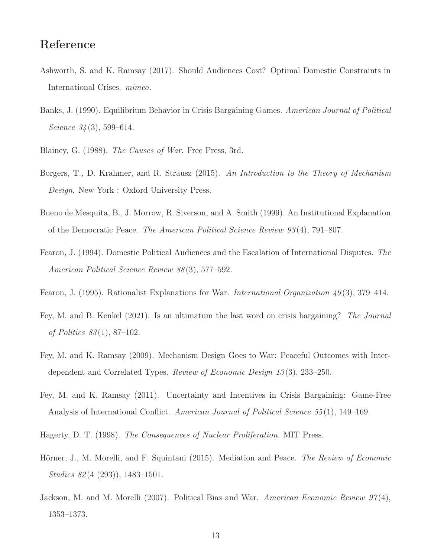## Reference

- <span id="page-13-8"></span>Ashworth, S. and K. Ramsay (2017). Should Audiences Cost? Optimal Domestic Constraints in International Crises. mimeo.
- <span id="page-13-6"></span>Banks, J. (1990). Equilibrium Behavior in Crisis Bargaining Games. American Journal of Political Science  $34(3)$ , 599–614.
- <span id="page-13-0"></span>Blainey, G. (1988). The Causes of War. Free Press, 3rd.
- <span id="page-13-12"></span>Borgers, T., D. Krahmer, and R. Strausz (2015). An Introduction to the Theory of Mechanism Design. New York : Oxford University Press.
- <span id="page-13-3"></span>Bueno de Mesquita, B., J. Morrow, R. Siverson, and A. Smith (1999). An Institutional Explanation of the Democratic Peace. The American Political Science Review 93 (4), 791–807.
- <span id="page-13-5"></span>Fearon, J. (1994). Domestic Political Audiences and the Escalation of International Disputes. The American Political Science Review 88 (3), 577–592.
- <span id="page-13-1"></span>Fearon, J. (1995). Rationalist Explanations for War. International Organization  $49(3)$ , 379–414.
- <span id="page-13-11"></span>Fey, M. and B. Kenkel (2021). Is an ultimatum the last word on crisis bargaining? The Journal of Politics 83 (1), 87–102.
- <span id="page-13-9"></span>Fey, M. and K. Ramsay (2009). Mechanism Design Goes to War: Peaceful Outcomes with Interdependent and Correlated Types. Review of Economic Design 13 (3), 233–250.
- <span id="page-13-7"></span>Fey, M. and K. Ramsay (2011). Uncertainty and Incentives in Crisis Bargaining: Game-Free Analysis of International Conflict. American Journal of Political Science 55(1), 149–169.
- <span id="page-13-2"></span>Hagerty, D. T. (1998). The Consequences of Nuclear Proliferation. MIT Press.
- <span id="page-13-10"></span>Hörner, J., M. Morelli, and F. Squintani (2015). Mediation and Peace. The Review of Economic Studies 82 (4 (293)), 1483–1501.
- <span id="page-13-4"></span>Jackson, M. and M. Morelli (2007). Political Bias and War. American Economic Review  $97(4)$ , 1353–1373.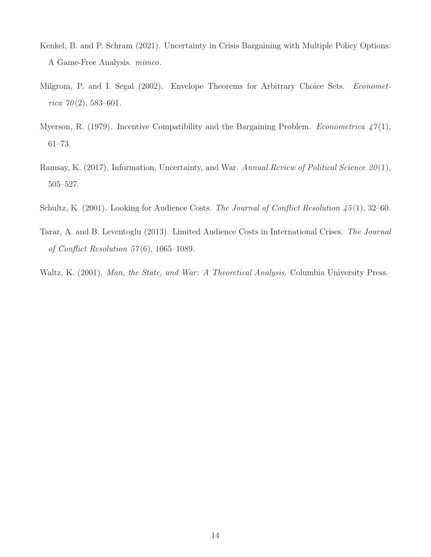- <span id="page-14-2"></span>Kenkel, B. and P. Schram (2021). Uncertainty in Crisis Bargaining with Multiple Policy Options: A Game-Free Analysis. mimeo.
- <span id="page-14-6"></span>Milgrom, P. and I. Segal (2002). Envelope Theorems for Arbitrary Choice Sets. *Economet*rica  $70(2)$ , 583-601.
- <span id="page-14-3"></span>Myerson, R. (1979). Incentive Compatibility and the Bargaining Problem. *Econometrica*  $47(1)$ , 61–73.
- <span id="page-14-4"></span>Ramsay, K. (2017). Information, Uncertainty, and War. Annual Review of Political Science 20(1), 505–527.
- <span id="page-14-0"></span>Schultz, K. (2001). Looking for Audience Costs. The Journal of Conflict Resolution  $\frac{45}{11}$ , 32–60.
- <span id="page-14-1"></span>Tarar, A. and B. Leventoglu (2013). Limited Audience Costs in International Crises. The Journal of Conflict Resolution  $57(6)$ , 1065–1089.
- <span id="page-14-5"></span>Waltz, K. (2001). Man, the State, and War: A Theoretical Analysis. Columbia University Press.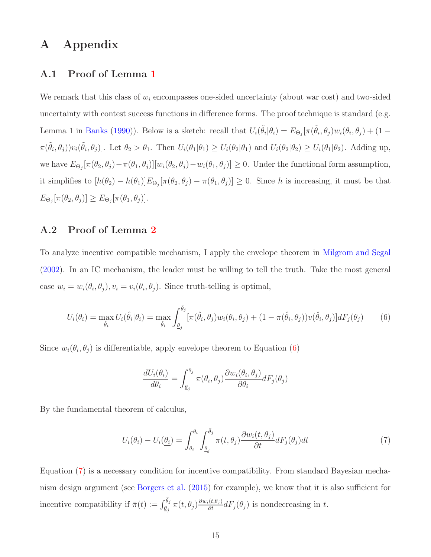## A Appendix

#### A.1 Proof of Lemma [1](#page-8-0)

We remark that this class of  $w_i$  encompasses one-sided uncertainty (about war cost) and two-sided uncertainty with contest success functions in difference forms. The proof technique is standard (e.g. Lemma 1 in [Banks](#page-13-6) [\(1990\)](#page-13-6)). Below is a sketch: recall that  $U_i(\tilde{\theta}_i|\theta_i) = E_{\Theta_j}[\pi(\tilde{\theta}_i,\theta_j)w_i(\theta_i,\theta_j) + (1-\theta_i)\pi(\tilde{\theta}_i,\theta_j)w_i(\theta_i,\theta_j)]$  $\pi(\tilde{\theta}_i,\theta_j))v_i(\tilde{\theta}_i,\theta_j)$ . Let  $\theta_2 > \theta_1$ . Then  $U_i(\theta_1|\theta_1) \ge U_i(\theta_2|\theta_1)$  and  $U_i(\theta_2|\theta_2) \ge U_i(\theta_1|\theta_2)$ . Adding up, we have  $E_{\Theta_j}[\pi(\theta_2,\theta_j)-\pi(\theta_1,\theta_j)][w_i(\theta_2,\theta_j)-w_i(\theta_1,\theta_j)] \geq 0$ . Under the functional form assumption, it simplifies to  $[h(\theta_2) - h(\theta_1)]E_{\Theta_j}[\pi(\theta_2, \theta_j) - \pi(\theta_1, \theta_j)] \geq 0$ . Since h is increasing, it must be that  $E_{\Theta_j}[\pi(\theta_2, \theta_j)] \geq E_{\Theta_j}[\pi(\theta_1, \theta_j)].$ 

#### A.2 Proof of Lemma [2](#page-9-2)

To analyze incentive compatible mechanism, I apply the envelope theorem in [Milgrom and Segal](#page-14-6) [\(2002\)](#page-14-6). In an IC mechanism, the leader must be willing to tell the truth. Take the most general case  $w_i = w_i(\theta_i, \theta_j), v_i = v_i(\theta_i, \theta_j)$ . Since truth-telling is optimal,

$$
U_i(\theta_i) = \max_{\hat{\theta}_i} U_i(\hat{\theta}_i | \theta_i) = \max_{\hat{\theta}_i} \int_{\underline{\theta}_j}^{\bar{\theta}_j} [\pi(\hat{\theta}_i, \theta_j) w_i(\theta_i, \theta_j) + (1 - \pi(\hat{\theta}_i, \theta_j)) v(\hat{\theta}_i, \theta_j)] dF_j(\theta_j)
$$
(6)

Since  $w_i(\theta_i, \theta_j)$  is differentiable, apply envelope theorem to Equation [\(6\)](#page-15-0)

<span id="page-15-1"></span><span id="page-15-0"></span>
$$
\frac{dU_i(\theta_i)}{d\theta_i} = \int_{\underline{\theta}_j}^{\bar{\theta}_j} \pi(\theta_i, \theta_j) \frac{\partial w_i(\theta_i, \theta_j)}{\partial \theta_i} dF_j(\theta_j)
$$

By the fundamental theorem of calculus,

$$
U_i(\theta_i) - U_i(\underline{\theta_i}) = \int_{\underline{\theta_i}}^{\theta_i} \int_{\underline{\theta_j}}^{\overline{\theta_j}} \pi(t, \theta_j) \frac{\partial w_i(t, \theta_j)}{\partial t} dF_j(\theta_j) dt \tag{7}
$$

Equation [\(7\)](#page-15-1) is a necessary condition for incentive compatibility. From standard Bayesian mechanism design argument (see [Borgers et al.](#page-13-12) [\(2015](#page-13-12)) for example), we know that it is also sufficient for incentive compatibility if  $\bar{\pi}(t) := \int_{\underline{\theta}_j}^{\bar{\theta}_j} \pi(t, \theta_j) \frac{\partial w_i(t, \theta_j)}{\partial t} dF_j(\theta_j)$  is nondecreasing in t.